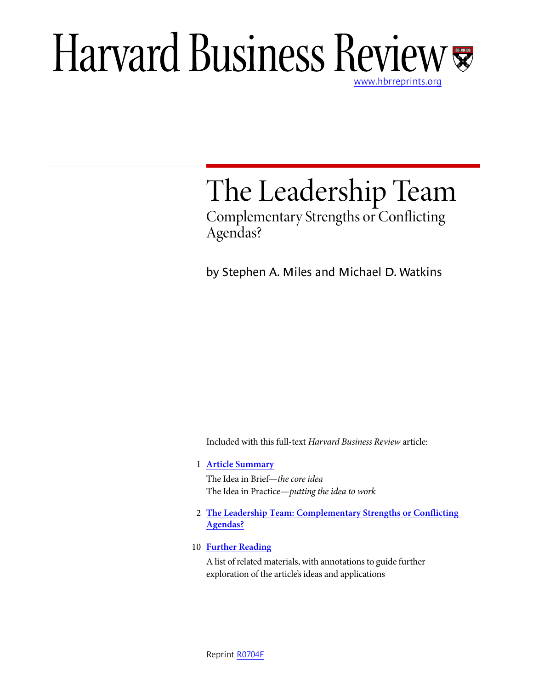## Harvard Business Review www.hbrreprints.org

# The Leadership Team

Complementary Strengths or Conflicting Agendas?

by Stephen A. Miles and Michael D. Watkins

Included with this full-text Harvard Business Review article:

1 **Article Summary**

The Idea in Brief—the core idea The Idea in Practice—putting the idea to work

- 2 **The Leadership Team: Complementary Strengths or Conflicting Agendas?**
- 10 **Further Reading**

A list of related materials, with annotations to guide further exploration of the article's ideas and applications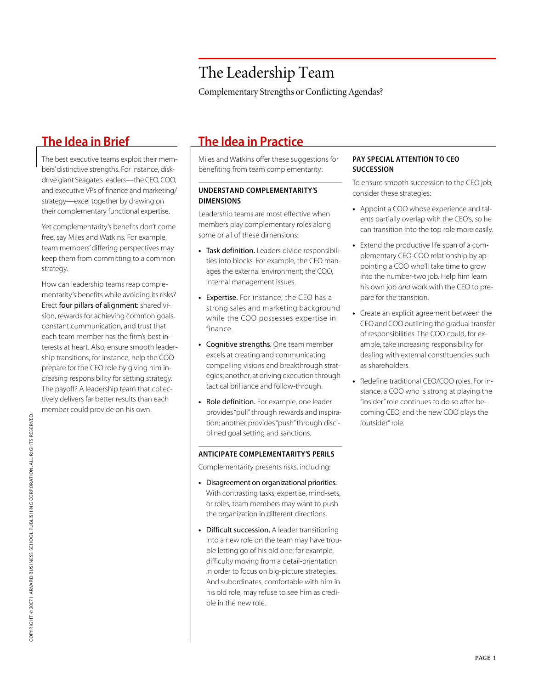Complementary Strengths or Conflicting Agendas?

The best executive teams exploit their members' distinctive strengths. For instance, diskdrive giant Seagate's leaders—the CEO, COO, and executive VPs of finance and marketing/ strategy—excel together by drawing on their complementary functional expertise.

Yet complementarity's benefits don't come free, say Miles and Watkins. For example, team members' differing perspectives may keep them from committing to a common strategy.

How can leadership teams reap complementarity's benefits while avoiding its risks? Erect four pillars of alignment: shared vision, rewards for achieving common goals, constant communication, and trust that each team member has the firm's best interests at heart. Also, ensure smooth leadership transitions; for instance, help the COO prepare for the CEO role by giving him increasing responsibility for setting strategy. The payoff? A leadership team that collectively delivers far better results than each member could provide on his own.

### **The Idea in Brief The Idea in Practice**

Miles and Watkins offer these suggestions for benefiting from team complementarity:

### **UNDERSTAND COMPLEMENTARITY'S DIMENSIONS**

Leadership teams are most effective when members play complementary roles along some or all of these dimensions:

- **•** Task definition. Leaders divide responsibilities into blocks. For example, the CEO manages the external environment; the COO, internal management issues.
- **•** Expertise. For instance, the CEO has a strong sales and marketing background while the COO possesses expertise in finance.
- **•** Cognitive strengths. One team member excels at creating and communicating compelling visions and breakthrough strategies; another, at driving execution through tactical brilliance and follow-through.
- **•** Role definition. For example, one leader provides "pull" through rewards and inspiration; another provides "push" through disciplined goal setting and sanctions.

#### **ANTICIPATE COMPLEMENTARITY'S PERILS**

Complementarity presents risks, including:

- **•** Disagreement on organizational priorities. With contrasting tasks, expertise, mind-sets, or roles, team members may want to push the organization in different directions.
- **•** Difficult succession. A leader transitioning into a new role on the team may have trouble letting go of his old one; for example, difficulty moving from a detail-orientation in order to focus on big-picture strategies. And subordinates, comfortable with him in his old role, may refuse to see him as credible in the new role.

#### **PAY SPECIAL ATTENTION TO CEO SUCCESSION**

To ensure smooth succession to the CEO job, consider these strategies:

- **•** Appoint a COO whose experience and talents partially overlap with the CEO's, so he can transition into the top role more easily.
- **•** Extend the productive life span of a complementary CEO-COO relationship by appointing a COO who'll take time to grow into the number-two job. Help him learn his own job and work with the CEO to prepare for the transition.
- **•** Create an explicit agreement between the CEO and COO outlining the gradual transfer of responsibilities. The COO could, for example, take increasing responsibility for dealing with external constituencies such as shareholders.
- **•** Redefine traditional CEO/COO roles. For instance, a COO who is strong at playing the "insider" role continues to do so after becoming CEO, and the new COO plays the "outsider" role.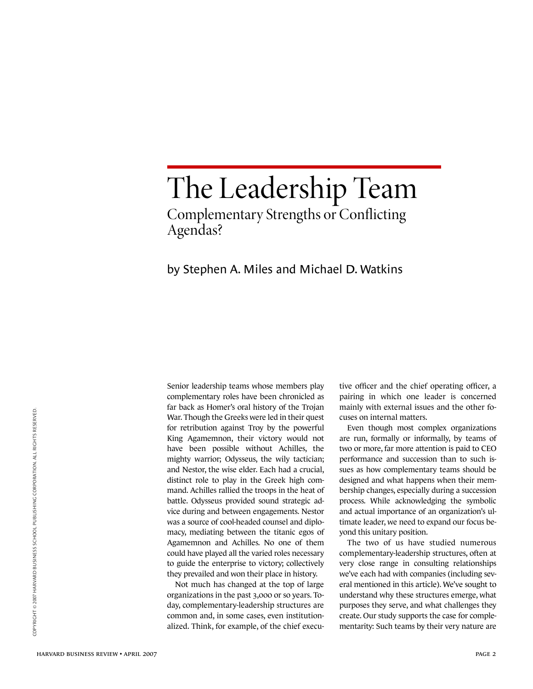## The Leadership Team Complementary Strengths or Conflicting Agendas?

### by Stephen A. Miles and Michael D. Watkins

Senior leadership teams whose members play complementary roles have been chronicled as far back as Homer's oral history of the Trojan War. Though the Greeks were led in their quest for retribution against Troy by the powerful King Agamemnon, their victory would not have been possible without Achilles, the mighty warrior; Odysseus, the wily tactician; and Nestor, the wise elder. Each had a crucial, distinct role to play in the Greek high command. Achilles rallied the troops in the heat of battle. Odysseus provided sound strategic advice during and between engagements. Nestor was a source of cool-headed counsel and diplomacy, mediating between the titanic egos of Agamemnon and Achilles. No one of them could have played all the varied roles necessary to guide the enterprise to victory; collectively they prevailed and won their place in history.

Not much has changed at the top of large organizations in the past 3,000 or so years. Today, complementary-leadership structures are common and, in some cases, even institutionalized. Think, for example, of the chief executive officer and the chief operating officer, a pairing in which one leader is concerned mainly with external issues and the other focuses on internal matters.

Even though most complex organizations are run, formally or informally, by teams of two or more, far more attention is paid to CEO performance and succession than to such issues as how complementary teams should be designed and what happens when their membership changes, especially during a succession process. While acknowledging the symbolic and actual importance of an organization's ultimate leader, we need to expand our focus beyond this unitary position.

The two of us have studied numerous complementary-leadership structures, often at very close range in consulting relationships we've each had with companies (including several mentioned in this article). We've sought to understand why these structures emerge, what purposes they serve, and what challenges they create. Our study supports the case for complementarity: Such teams by their very nature are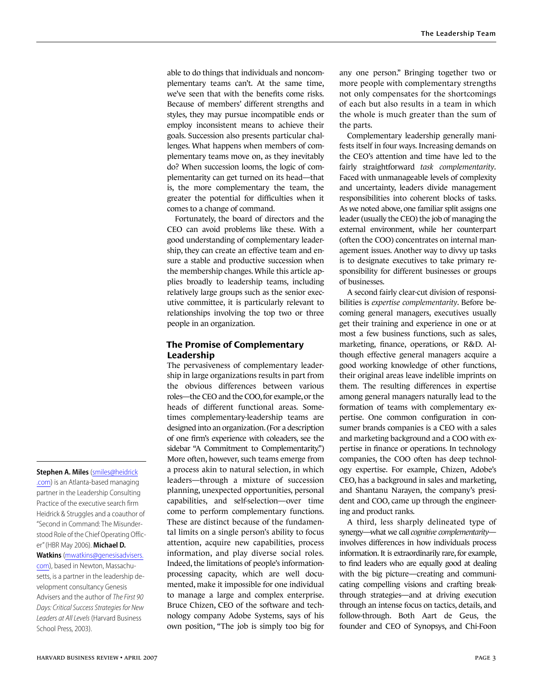able to do things that individuals and noncomplementary teams can't. At the same time, we've seen that with the benefits come risks. Because of members' different strengths and styles, they may pursue incompatible ends or employ inconsistent means to achieve their goals. Succession also presents particular challenges. What happens when members of complementary teams move on, as they inevitably do? When succession looms, the logic of complementarity can get turned on its head—that is, the more complementary the team, the greater the potential for difficulties when it comes to a change of command.

Fortunately, the board of directors and the CEO can avoid problems like these. With a good understanding of complementary leadership, they can create an effective team and ensure a stable and productive succession when the membership changes. While this article applies broadly to leadership teams, including relatively large groups such as the senior executive committee, it is particularly relevant to relationships involving the top two or three people in an organization.

### **The Promise of Complementary Leadership**

The pervasiveness of complementary leadership in large organizations results in part from the obvious differences between various roles—the CEO and the COO, for example, or the heads of different functional areas. Sometimes complementary-leadership teams are designed into an organization. (For a description of one firm's experience with coleaders, see the sidebar "A Commitment to Complementarity.") More often, however, such teams emerge from a process akin to natural selection, in which leaders—through a mixture of succession planning, unexpected opportunities, personal capabilities, and self-selection—over time come to perform complementary functions. These are distinct because of the fundamental limits on a single person's ability to focus attention, acquire new capabilities, process information, and play diverse social roles. Indeed, the limitations of people's informationprocessing capacity, which are well documented, make it impossible for one individual to manage a large and complex enterprise. Bruce Chizen, CEO of the software and technology company Adobe Systems, says of his own position, "The job is simply too big for

any one person." Bringing together two or more people with complementary strengths not only compensates for the shortcomings of each but also results in a team in which the whole is much greater than the sum of the parts.

Complementary leadership generally manifests itself in four ways. Increasing demands on the CEO's attention and time have led to the fairly straightforward *task complementarity*. Faced with unmanageable levels of complexity and uncertainty, leaders divide management responsibilities into coherent blocks of tasks. As we noted above, one familiar split assigns one leader (usually the CEO) the job of managing the external environment, while her counterpart (often the COO) concentrates on internal management issues. Another way to divvy up tasks is to designate executives to take primary responsibility for different businesses or groups of businesses.

A second fairly clear-cut division of responsibilities is *expertise complementarity*. Before becoming general managers, executives usually get their training and experience in one or at most a few business functions, such as sales, marketing, finance, operations, or R&D. Although effective general managers acquire a good working knowledge of other functions, their original areas leave indelible imprints on them. The resulting differences in expertise among general managers naturally lead to the formation of teams with complementary expertise. One common configuration in consumer brands companies is a CEO with a sales and marketing background and a COO with expertise in finance or operations. In technology companies, the COO often has deep technology expertise. For example, Chizen, Adobe's CEO, has a background in sales and marketing, and Shantanu Narayen, the company's president and COO, came up through the engineering and product ranks.

A third, less sharply delineated type of synergy—what we call *cognitive complementarity* involves differences in how individuals process information. It is extraordinarily rare, for example, to find leaders who are equally good at dealing with the big picture—creating and communicating compelling visions and crafting breakthrough strategies—and at driving execution through an intense focus on tactics, details, and follow-through. Both Aart de Geus, the founder and CEO of Synopsys, and Chi-Foon

**Stephen A. Miles** (smiles@heidrick .com) is an Atlanta-based managing partner in the Leadership Consulting Practice of the executive search firm Heidrick & Struggles and a coauthor of "Second in Command: The Misunderstood Role of the Chief Operating Officer" (HBR May 2006). **Michael D.** 

**Watkins** (mwatkins@genesisadvisers. com), based in Newton, Massachusetts, is a partner in the leadership development consultancy Genesis Advisers and the author of The First 90 Days: Critical Success Strategies for New Leaders at All Levels (Harvard Business School Press, 2003).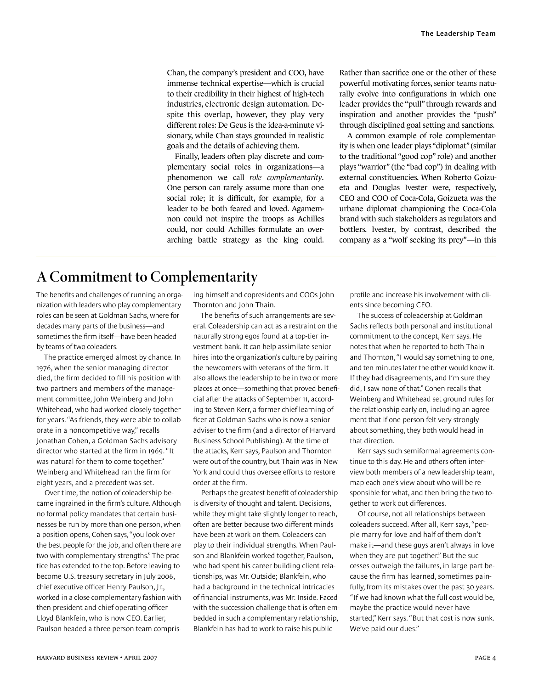Chan, the company's president and COO, have immense technical expertise—which is crucial to their credibility in their highest of high-tech industries, electronic design automation. Despite this overlap, however, they play very different roles: De Geus is the idea-a-minute visionary, while Chan stays grounded in realistic goals and the details of achieving them.

Finally, leaders often play discrete and complementary social roles in organizations—a phenomenon we call *role complementarity*. One person can rarely assume more than one social role; it is difficult, for example, for a leader to be both feared and loved. Agamemnon could not inspire the troops as Achilles could, nor could Achilles formulate an overarching battle strategy as the king could.

Rather than sacrifice one or the other of these powerful motivating forces, senior teams naturally evolve into configurations in which one leader provides the "pull" through rewards and inspiration and another provides the "push" through disciplined goal setting and sanctions.

A common example of role complementarity is when one leader plays "diplomat" (similar to the traditional "good cop" role) and another plays "warrior" (the "bad cop") in dealing with external constituencies. When Roberto Goizueta and Douglas Ivester were, respectively, CEO and COO of Coca-Cola, Goizueta was the urbane diplomat championing the Coca-Cola brand with such stakeholders as regulators and bottlers. Ivester, by contrast, described the company as a "wolf seeking its prey"—in this

### **A Commitment to Complementarity**

The benefits and challenges of running an organization with leaders who play complementary roles can be seen at Goldman Sachs, where for decades many parts of the business—and sometimes the firm itself—have been headed by teams of two coleaders.

The practice emerged almost by chance. In 1976, when the senior managing director died, the firm decided to fill his position with two partners and members of the management committee, John Weinberg and John Whitehead, who had worked closely together for years. "As friends, they were able to collaborate in a noncompetitive way," recalls Jonathan Cohen, a Goldman Sachs advisory director who started at the firm in 1969. "It was natural for them to come together." Weinberg and Whitehead ran the firm for eight years, and a precedent was set.

Over time, the notion of coleadership became ingrained in the firm's culture. Although no formal policy mandates that certain businesses be run by more than one person, when a position opens, Cohen says, "you look over the best people for the job, and often there are two with complementary strengths." The practice has extended to the top. Before leaving to become U.S. treasury secretary in July 2006, chief executive officer Henry Paulson, Jr., worked in a close complementary fashion with then president and chief operating officer Lloyd Blankfein, who is now CEO. Earlier, Paulson headed a three-person team comprising himself and copresidents and COOs John Thornton and John Thain.

The benefits of such arrangements are several. Coleadership can act as a restraint on the naturally strong egos found at a top-tier investment bank. It can help assimilate senior hires into the organization's culture by pairing the newcomers with veterans of the firm. It also allows the leadership to be in two or more places at once—something that proved beneficial after the attacks of September 11, according to Steven Kerr, a former chief learning officer at Goldman Sachs who is now a senior adviser to the firm (and a director of Harvard Business School Publishing). At the time of the attacks, Kerr says, Paulson and Thornton were out of the country, but Thain was in New York and could thus oversee efforts to restore order at the firm.

Perhaps the greatest benefit of coleadership is diversity of thought and talent. Decisions, while they might take slightly longer to reach, often are better because two different minds have been at work on them. Coleaders can play to their individual strengths. When Paulson and Blankfein worked together, Paulson, who had spent his career building client relationships, was Mr. Outside; Blankfein, who had a background in the technical intricacies of financial instruments, was Mr. Inside. Faced with the succession challenge that is often embedded in such a complementary relationship, Blankfein has had to work to raise his public

profile and increase his involvement with clients since becoming CEO.

The success of coleadership at Goldman Sachs reflects both personal and institutional commitment to the concept, Kerr says. He notes that when he reported to both Thain and Thornton, "I would say something to one, and ten minutes later the other would know it. If they had disagreements, and I'm sure they did, I saw none of that." Cohen recalls that Weinberg and Whitehead set ground rules for the relationship early on, including an agreement that if one person felt very strongly about something, they both would head in that direction.

Kerr says such semiformal agreements continue to this day. He and others often interview both members of a new leadership team, map each one's view about who will be responsible for what, and then bring the two together to work out differences.

Of course, not all relationships between coleaders succeed. After all, Kerr says, "people marry for love and half of them don't make it—and these guys aren't always in love when they are put together." But the successes outweigh the failures, in large part because the firm has learned, sometimes painfully, from its mistakes over the past 30 years. "If we had known what the full cost would be, maybe the practice would never have started," Kerr says. "But that cost is now sunk. We've paid our dues."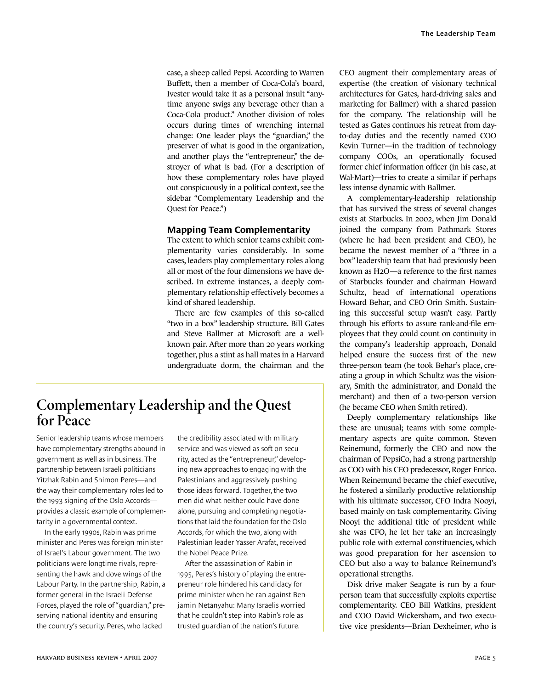case, a sheep called Pepsi. According to Warren Buffett, then a member of Coca-Cola's board, Ivester would take it as a personal insult "anytime anyone swigs any beverage other than a Coca-Cola product." Another division of roles occurs during times of wrenching internal change: One leader plays the "guardian," the preserver of what is good in the organization, and another plays the "entrepreneur," the destroyer of what is bad. (For a description of how these complementary roles have played out conspicuously in a political context, see the sidebar "Complementary Leadership and the Quest for Peace.")

#### **Mapping Team Complementarity**

The extent to which senior teams exhibit complementarity varies considerably. In some cases, leaders play complementary roles along all or most of the four dimensions we have described. In extreme instances, a deeply complementary relationship effectively becomes a kind of shared leadership.

There are few examples of this so-called "two in a box" leadership structure. Bill Gates and Steve Ballmer at Microsoft are a wellknown pair. After more than 20 years working together, plus a stint as hall mates in a Harvard undergraduate dorm, the chairman and the

### **Complementary Leadership and the Quest for Peace**

Senior leadership teams whose members have complementary strengths abound in government as well as in business. The partnership between Israeli politicians Yitzhak Rabin and Shimon Peres—and the way their complementary roles led to the 1993 signing of the Oslo Accords provides a classic example of complementarity in a governmental context.

In the early 1990s, Rabin was prime minister and Peres was foreign minister of Israel's Labour government. The two politicians were longtime rivals, representing the hawk and dove wings of the Labour Party. In the partnership, Rabin, a former general in the Israeli Defense Forces, played the role of "guardian," preserving national identity and ensuring the country's security. Peres, who lacked

the credibility associated with military service and was viewed as soft on security, acted as the "entrepreneur," developing new approaches to engaging with the Palestinians and aggressively pushing those ideas forward. Together, the two men did what neither could have done alone, pursuing and completing negotiations that laid the foundation for the Oslo Accords, for which the two, along with Palestinian leader Yasser Arafat, received the Nobel Peace Prize.

After the assassination of Rabin in 1995, Peres's history of playing the entrepreneur role hindered his candidacy for prime minister when he ran against Benjamin Netanyahu: Many Israelis worried that he couldn't step into Rabin's role as trusted guardian of the nation's future.

CEO augment their complementary areas of expertise (the creation of visionary technical architectures for Gates, hard-driving sales and marketing for Ballmer) with a shared passion for the company. The relationship will be tested as Gates continues his retreat from dayto-day duties and the recently named COO Kevin Turner—in the tradition of technology company COOs, an operationally focused former chief information officer (in his case, at Wal-Mart)—tries to create a similar if perhaps less intense dynamic with Ballmer.

A complementary-leadership relationship that has survived the stress of several changes exists at Starbucks. In 2002, when Jim Donald joined the company from Pathmark Stores (where he had been president and CEO), he became the newest member of a "three in a box" leadership team that had previously been known as H2O—a reference to the first names of Starbucks founder and chairman Howard Schultz, head of international operations Howard Behar, and CEO Orin Smith. Sustaining this successful setup wasn't easy. Partly through his efforts to assure rank-and-file employees that they could count on continuity in the company's leadership approach, Donald helped ensure the success first of the new three-person team (he took Behar's place, creating a group in which Schultz was the visionary, Smith the administrator, and Donald the merchant) and then of a two-person version (he became CEO when Smith retired).

Deeply complementary relationships like these are unusual; teams with some complementary aspects are quite common. Steven Reinemund, formerly the CEO and now the chairman of PepsiCo, had a strong partnership as COO with his CEO predecessor, Roger Enrico. When Reinemund became the chief executive, he fostered a similarly productive relationship with his ultimate successor, CFO Indra Nooyi, based mainly on task complementarity. Giving Nooyi the additional title of president while she was CFO, he let her take an increasingly public role with external constituencies, which was good preparation for her ascension to CEO but also a way to balance Reinemund's operational strengths.

Disk drive maker Seagate is run by a fourperson team that successfully exploits expertise complementarity. CEO Bill Watkins, president and COO David Wickersham, and two executive vice presidents—Brian Dexheimer, who is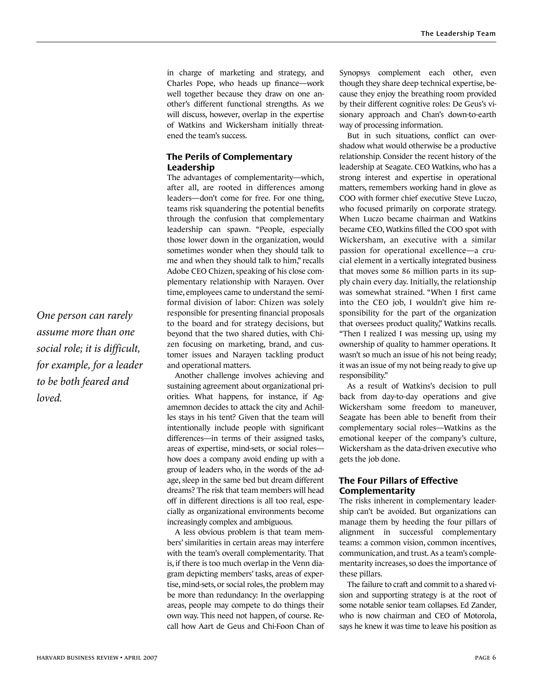in charge of marketing and strategy, and Charles Pope, who heads up finance—work well together because they draw on one another's different functional strengths. As we will discuss, however, overlap in the expertise of Watkins and Wickersham initially threatened the team's success.

### **The Perils of Complementary Leadership**

The advantages of complementarity—which, after all, are rooted in differences among leaders—don't come for free. For one thing, teams risk squandering the potential benefits through the confusion that complementary leadership can spawn. "People, especially those lower down in the organization, would sometimes wonder when they should talk to me and when they should talk to him," recalls Adobe CEO Chizen, speaking of his close complementary relationship with Narayen. Over time, employees came to understand the semiformal division of labor: Chizen was solely responsible for presenting financial proposals to the board and for strategy decisions, but beyond that the two shared duties, with Chizen focusing on marketing, brand, and customer issues and Narayen tackling product and operational matters.

Another challenge involves achieving and sustaining agreement about organizational priorities. What happens, for instance, if Agamemnon decides to attack the city and Achilles stays in his tent? Given that the team will intentionally include people with significant differences—in terms of their assigned tasks, areas of expertise, mind-sets, or social roles how does a company avoid ending up with a group of leaders who, in the words of the adage, sleep in the same bed but dream different dreams? The risk that team members will head off in different directions is all too real, especially as organizational environments become increasingly complex and ambiguous.

A less obvious problem is that team members' similarities in certain areas may interfere with the team's overall complementarity. That is, if there is too much overlap in the Venn diagram depicting members' tasks, areas of expertise, mind-sets, or social roles, the problem may be more than redundancy: In the overlapping areas, people may compete to do things their own way. This need not happen, of course. Recall how Aart de Geus and Chi-Foon Chan of

Synopsys complement each other, even though they share deep technical expertise, because they enjoy the breathing room provided by their different cognitive roles: De Geus's visionary approach and Chan's down-to-earth way of processing information.

But in such situations, conflict can overshadow what would otherwise be a productive relationship. Consider the recent history of the leadership at Seagate. CEO Watkins, who has a strong interest and expertise in operational matters, remembers working hand in glove as COO with former chief executive Steve Luczo, who focused primarily on corporate strategy. When Luczo became chairman and Watkins became CEO, Watkins filled the COO spot with Wickersham, an executive with a similar passion for operational excellence—a crucial element in a vertically integrated business that moves some 86 million parts in its supply chain every day. Initially, the relationship was somewhat strained. "When I first came into the CEO job, I wouldn't give him responsibility for the part of the organization that oversees product quality," Watkins recalls. "Then I realized I was messing up, using my ownership of quality to hammer operations. It wasn't so much an issue of his not being ready; it was an issue of my not being ready to give up responsibility."

As a result of Watkins's decision to pull back from day-to-day operations and give Wickersham some freedom to maneuver, Seagate has been able to benefit from their complementary social roles—Watkins as the emotional keeper of the company's culture, Wickersham as the data-driven executive who gets the job done.

### **The Four Pillars of Effective Complementarity**

The risks inherent in complementary leadership can't be avoided. But organizations can manage them by heeding the four pillars of alignment in successful complementary teams: a common vision, common incentives, communication, and trust. As a team's complementarity increases, so does the importance of these pillars.

The failure to craft and commit to a shared vision and supporting strategy is at the root of some notable senior team collapses. Ed Zander, who is now chairman and CEO of Motorola, says he knew it was time to leave his position as

One person can rarely assume more than one social role; it is difficult, for example, for a leader to be both feared and loved.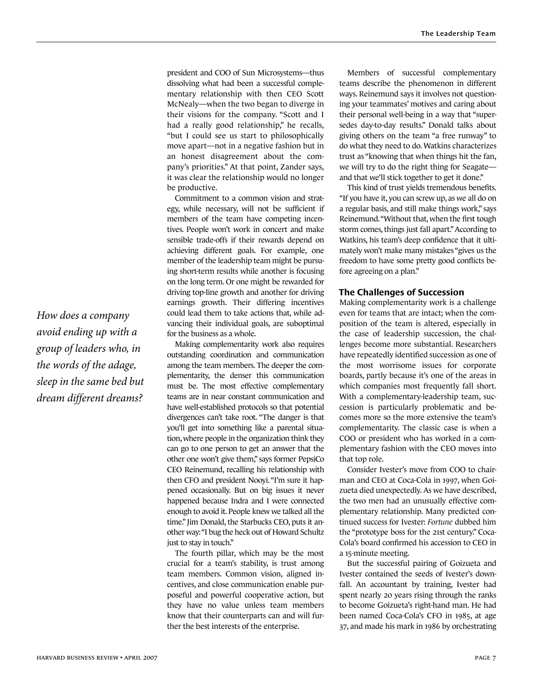president and COO of Sun Microsystems—thus dissolving what had been a successful complementary relationship with then CEO Scott McNealy—when the two began to diverge in their visions for the company. "Scott and I had a really good relationship," he recalls, "but I could see us start to philosophically move apart—not in a negative fashion but in an honest disagreement about the company's priorities." At that point, Zander says, it was clear the relationship would no longer be productive.

Commitment to a common vision and strategy, while necessary, will not be sufficient if members of the team have competing incentives. People won't work in concert and make sensible trade-offs if their rewards depend on achieving different goals. For example, one member of the leadership team might be pursuing short-term results while another is focusing on the long term. Or one might be rewarded for driving top-line growth and another for driving earnings growth. Their differing incentives could lead them to take actions that, while advancing their individual goals, are suboptimal for the business as a whole.

Making complementarity work also requires outstanding coordination and communication among the team members. The deeper the complementarity, the denser this communication must be. The most effective complementary teams are in near constant communication and have well-established protocols so that potential divergences can't take root. "The danger is that you'll get into something like a parental situation, where people in the organization think they can go to one person to get an answer that the other one won't give them," says former PepsiCo CEO Reinemund, recalling his relationship with then CFO and president Nooyi. "I'm sure it happened occasionally. But on big issues it never happened because Indra and I were connected enough to avoid it. People knew we talked all the time." Jim Donald, the Starbucks CEO, puts it another way: "I bug the heck out of Howard Schultz just to stay in touch."

The fourth pillar, which may be the most crucial for a team's stability, is trust among team members. Common vision, aligned incentives, and close communication enable purposeful and powerful cooperative action, but they have no value unless team members know that their counterparts can and will further the best interests of the enterprise.

Members of successful complementary teams describe the phenomenon in different ways. Reinemund says it involves not questioning your teammates' motives and caring about their personal well-being in a way that "supersedes day-to-day results." Donald talks about giving others on the team "a free runway" to do what they need to do. Watkins characterizes trust as "knowing that when things hit the fan, we will try to do the right thing for Seagate and that we'll stick together to get it done."

This kind of trust yields tremendous benefits. "If you have it, you can screw up, as we all do on a regular basis, and still make things work," says Reinemund. "Without that, when the first tough storm comes, things just fall apart." According to Watkins, his team's deep confidence that it ultimately won't make many mistakes "gives us the freedom to have some pretty good conflicts before agreeing on a plan."

#### **The Challenges of Succession**

Making complementarity work is a challenge even for teams that are intact; when the composition of the team is altered, especially in the case of leadership succession, the challenges become more substantial. Researchers have repeatedly identified succession as one of the most worrisome issues for corporate boards, partly because it's one of the areas in which companies most frequently fall short. With a complementary-leadership team, succession is particularly problematic and becomes more so the more extensive the team's complementarity. The classic case is when a COO or president who has worked in a complementary fashion with the CEO moves into that top role.

Consider Ivester's move from COO to chairman and CEO at Coca-Cola in 1997, when Goizueta died unexpectedly. As we have described, the two men had an unusually effective complementary relationship. Many predicted continued success for Ivester: *Fortune* dubbed him the "prototype boss for the 21st century." Coca-Cola's board confirmed his accession to CEO in a 15-minute meeting.

But the successful pairing of Goizueta and Ivester contained the seeds of Ivester's downfall. An accountant by training, Ivester had spent nearly 20 years rising through the ranks to become Goizueta's right-hand man. He had been named Coca-Cola's CFO in 1985, at age 37, and made his mark in 1986 by orchestrating

How does a company avoid ending up with a group of leaders who, in the words of the adage, sleep in the same bed but dream different dreams?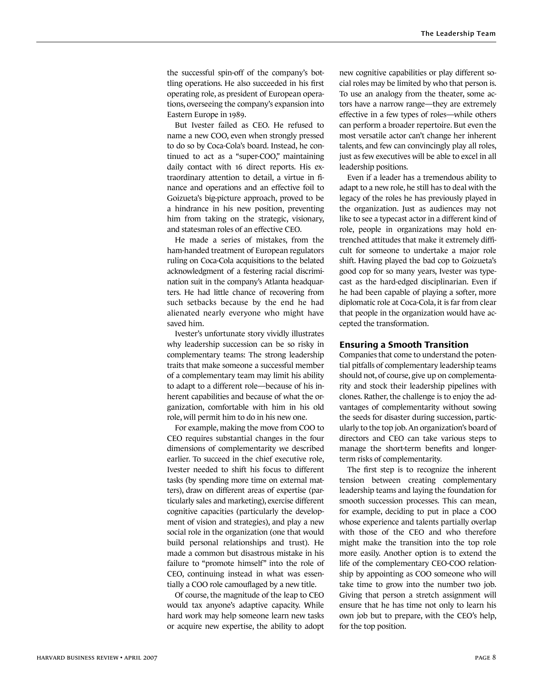the successful spin-off of the company's bottling operations. He also succeeded in his first operating role, as president of European operations, overseeing the company's expansion into Eastern Europe in 1989.

But Ivester failed as CEO. He refused to name a new COO, even when strongly pressed to do so by Coca-Cola's board. Instead, he continued to act as a "super-COO," maintaining daily contact with 16 direct reports. His extraordinary attention to detail, a virtue in finance and operations and an effective foil to Goizueta's big-picture approach, proved to be a hindrance in his new position, preventing him from taking on the strategic, visionary, and statesman roles of an effective CEO.

He made a series of mistakes, from the ham-handed treatment of European regulators ruling on Coca-Cola acquisitions to the belated acknowledgment of a festering racial discrimination suit in the company's Atlanta headquarters. He had little chance of recovering from such setbacks because by the end he had alienated nearly everyone who might have saved him.

Ivester's unfortunate story vividly illustrates why leadership succession can be so risky in complementary teams: The strong leadership traits that make someone a successful member of a complementary team may limit his ability to adapt to a different role—because of his inherent capabilities and because of what the organization, comfortable with him in his old role, will permit him to do in his new one.

For example, making the move from COO to CEO requires substantial changes in the four dimensions of complementarity we described earlier. To succeed in the chief executive role, Ivester needed to shift his focus to different tasks (by spending more time on external matters), draw on different areas of expertise (particularly sales and marketing), exercise different cognitive capacities (particularly the development of vision and strategies), and play a new social role in the organization (one that would build personal relationships and trust). He made a common but disastrous mistake in his failure to "promote himself" into the role of CEO, continuing instead in what was essentially a COO role camouflaged by a new title.

Of course, the magnitude of the leap to CEO would tax anyone's adaptive capacity. While hard work may help someone learn new tasks or acquire new expertise, the ability to adopt new cognitive capabilities or play different social roles may be limited by who that person is. To use an analogy from the theater, some actors have a narrow range—they are extremely effective in a few types of roles—while others can perform a broader repertoire. But even the most versatile actor can't change her inherent talents, and few can convincingly play all roles, just as few executives will be able to excel in all leadership positions.

Even if a leader has a tremendous ability to adapt to a new role, he still has to deal with the legacy of the roles he has previously played in the organization. Just as audiences may not like to see a typecast actor in a different kind of role, people in organizations may hold entrenched attitudes that make it extremely difficult for someone to undertake a major role shift. Having played the bad cop to Goizueta's good cop for so many years, Ivester was typecast as the hard-edged disciplinarian. Even if he had been capable of playing a softer, more diplomatic role at Coca-Cola, it is far from clear that people in the organization would have accepted the transformation.

### **Ensuring a Smooth Transition**

Companies that come to understand the potential pitfalls of complementary leadership teams should not, of course, give up on complementarity and stock their leadership pipelines with clones. Rather, the challenge is to enjoy the advantages of complementarity without sowing the seeds for disaster during succession, particularly to the top job. An organization's board of directors and CEO can take various steps to manage the short-term benefits and longerterm risks of complementarity.

The first step is to recognize the inherent tension between creating complementary leadership teams and laying the foundation for smooth succession processes. This can mean, for example, deciding to put in place a COO whose experience and talents partially overlap with those of the CEO and who therefore might make the transition into the top role more easily. Another option is to extend the life of the complementary CEO-COO relationship by appointing as COO someone who will take time to grow into the number two job. Giving that person a stretch assignment will ensure that he has time not only to learn his own job but to prepare, with the CEO's help, for the top position.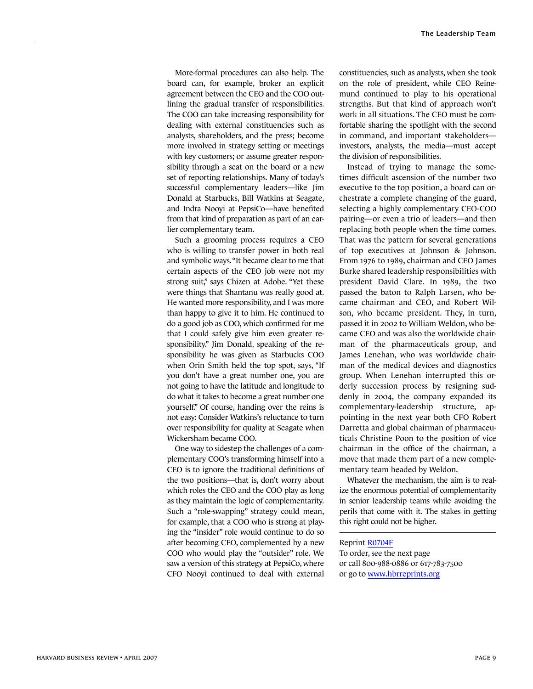More-formal procedures can also help. The board can, for example, broker an explicit agreement between the CEO and the COO outlining the gradual transfer of responsibilities. The COO can take increasing responsibility for dealing with external constituencies such as analysts, shareholders, and the press; become more involved in strategy setting or meetings with key customers; or assume greater responsibility through a seat on the board or a new set of reporting relationships. Many of today's successful complementary leaders—like Jim Donald at Starbucks, Bill Watkins at Seagate, and Indra Nooyi at PepsiCo—have benefited from that kind of preparation as part of an earlier complementary team.

Such a grooming process requires a CEO who is willing to transfer power in both real and symbolic ways. "It became clear to me that certain aspects of the CEO job were not my strong suit," says Chizen at Adobe. "Yet these were things that Shantanu was really good at. He wanted more responsibility, and I was more than happy to give it to him. He continued to do a good job as COO, which confirmed for me that I could safely give him even greater responsibility." Jim Donald, speaking of the responsibility he was given as Starbucks COO when Orin Smith held the top spot, says, "If you don't have a great number one, you are not going to have the latitude and longitude to do what it takes to become a great number one yourself." Of course, handing over the reins is not easy: Consider Watkins's reluctance to turn over responsibility for quality at Seagate when Wickersham became COO.

One way to sidestep the challenges of a complementary COO's transforming himself into a CEO is to ignore the traditional definitions of the two positions—that is, don't worry about which roles the CEO and the COO play as long as they maintain the logic of complementarity. Such a "role-swapping" strategy could mean, for example, that a COO who is strong at playing the "insider" role would continue to do so after becoming CEO, complemented by a new COO who would play the "outsider" role. We saw a version of this strategy at PepsiCo, where CFO Nooyi continued to deal with external constituencies, such as analysts, when she took on the role of president, while CEO Reinemund continued to play to his operational strengths. But that kind of approach won't work in all situations. The CEO must be comfortable sharing the spotlight with the second in command, and important stakeholders investors, analysts, the media—must accept the division of responsibilities.

Instead of trying to manage the sometimes difficult ascension of the number two executive to the top position, a board can orchestrate a complete changing of the guard, selecting a highly complementary CEO-COO pairing—or even a trio of leaders—and then replacing both people when the time comes. That was the pattern for several generations of top executives at Johnson & Johnson. From 1976 to 1989, chairman and CEO James Burke shared leadership responsibilities with president David Clare. In 1989, the two passed the baton to Ralph Larsen, who became chairman and CEO, and Robert Wilson, who became president. They, in turn, passed it in 2002 to William Weldon, who became CEO and was also the worldwide chairman of the pharmaceuticals group, and James Lenehan, who was worldwide chairman of the medical devices and diagnostics group. When Lenehan interrupted this orderly succession process by resigning suddenly in 2004, the company expanded its complementary-leadership structure, appointing in the next year both CFO Robert Darretta and global chairman of pharmaceuticals Christine Poon to the position of vice chairman in the office of the chairman, a move that made them part of a new complementary team headed by Weldon.

Whatever the mechanism, the aim is to realize the enormous potential of complementarity in senior leadership teams while avoiding the perils that come with it. The stakes in getting this right could not be higher.

#### Reprint R0704F

To order, see the next page or call 800-988-0886 or 617-783-7500 or go to www.hbrreprints.org